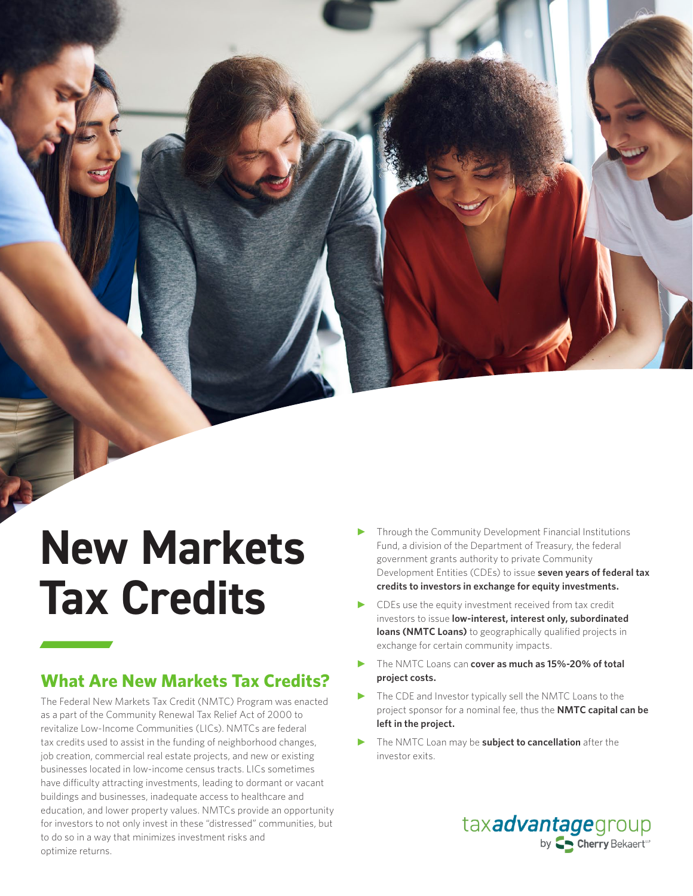## **New Markets Tax Credits**

## **What Are New Markets Tax Credits?**

The Federal New Markets Tax Credit (NMTC) Program was enacted as a part of the Community Renewal Tax Relief Act of 2000 to revitalize Low-Income Communities (LICs). NMTCs are federal tax credits used to assist in the funding of neighborhood changes, job creation, commercial real estate projects, and new or existing businesses located in low-income census tracts. LICs sometimes have difficulty attracting investments, leading to dormant or vacant buildings and businesses, inadequate access to healthcare and education, and lower property values. NMTCs provide an opportunity for investors to not only invest in these "distressed" communities, but to do so in a way that minimizes investment risks and optimize returns.

- Through the Community Development Financial Institutions Fund, a division of the Department of Treasury, the federal government grants authority to private Community Development Entities (CDEs) to issue **seven years of federal tax credits to investors in exchange for equity investments.**
- CDEs use the equity investment received from tax credit investors to issue **low-interest, interest only, subordinated loans (NMTC Loans)** to geographically qualified projects in exchange for certain community impacts.
- ► The NMTC Loans can **cover as much as 15%-20% of total project costs.**
- The CDE and Investor typically sell the NMTC Loans to the project sponsor for a nominal fee, thus the **NMTC capital can be left in the project.**
- The NMTC Loan may be **subject to cancellation** after the investor exits.